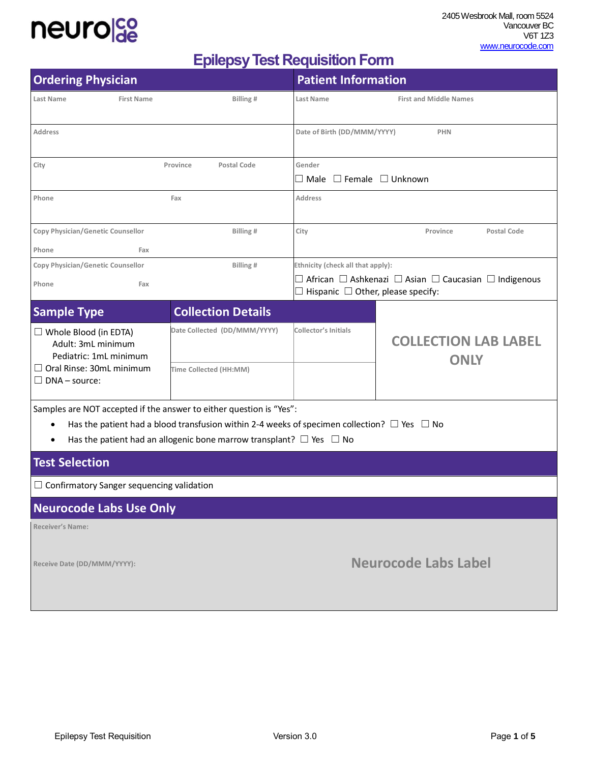

 2405 Wesbrook Mall, room 5524 Vancouver BC V6T 1Z3 [www.neurocode.com](http://www.neurocode.com/)

## **Epilepsy Test Requisition Form**

| <b>Ordering Physician</b>                                                                                                                                                    |                              | <b>Patient Information</b>                                                                                                       |                                            |  |
|------------------------------------------------------------------------------------------------------------------------------------------------------------------------------|------------------------------|----------------------------------------------------------------------------------------------------------------------------------|--------------------------------------------|--|
| Last Name<br><b>First Name</b>                                                                                                                                               | Billing#                     | <b>First and Middle Names</b><br>Last Name                                                                                       |                                            |  |
| Address                                                                                                                                                                      |                              | Date of Birth (DD/MMM/YYYY)<br><b>PHN</b>                                                                                        |                                            |  |
| City                                                                                                                                                                         | Postal Code<br>Province      | Gender<br>$\Box$ Male $\Box$ Female $\Box$ Unknown                                                                               |                                            |  |
| Phone                                                                                                                                                                        | Fax                          | <b>Address</b>                                                                                                                   |                                            |  |
| Copy Physician/Genetic Counsellor                                                                                                                                            | Billing #                    | City                                                                                                                             | Province<br>Postal Code                    |  |
| Phone<br>Fax                                                                                                                                                                 |                              |                                                                                                                                  |                                            |  |
| Copy Physician/Genetic Counsellor                                                                                                                                            | Billing#                     | Ethnicity (check all that apply):                                                                                                |                                            |  |
| Phone<br>Fax                                                                                                                                                                 |                              | $\Box$ African $\Box$ Ashkenazi $\Box$ Asian $\Box$ Caucasian $\Box$ Indigenous<br>$\Box$ Hispanic $\Box$ Other, please specify: |                                            |  |
| <b>Sample Type</b>                                                                                                                                                           | <b>Collection Details</b>    |                                                                                                                                  |                                            |  |
| $\Box$ Whole Blood (in EDTA)<br>Adult: 3mL minimum<br>Pediatric: 1mL minimum                                                                                                 | Date Collected (DD/MMM/YYYY) | <b>Collector's Initials</b>                                                                                                      | <b>COLLECTION LAB LABEL</b><br><b>ONLY</b> |  |
| $\Box$ Oral Rinse: 30mL minimum<br>$\Box$ DNA – source:                                                                                                                      | Time Collected (HH:MM)       |                                                                                                                                  |                                            |  |
| Samples are NOT accepted if the answer to either question is "Yes":<br>Has the patient had a blood transfusion within 2-4 weeks of specimen collection? $\Box$ Yes $\Box$ No |                              |                                                                                                                                  |                                            |  |
| Has the patient had an allogenic bone marrow transplant? $\Box$ Yes $\Box$ No<br>٠                                                                                           |                              |                                                                                                                                  |                                            |  |
| <b>Test Selection</b>                                                                                                                                                        |                              |                                                                                                                                  |                                            |  |
| $\Box$ Confirmatory Sanger sequencing validation                                                                                                                             |                              |                                                                                                                                  |                                            |  |
| <b>Neurocode Labs Use Only</b>                                                                                                                                               |                              |                                                                                                                                  |                                            |  |
| <b>Receiver's Name:</b>                                                                                                                                                      |                              |                                                                                                                                  |                                            |  |
| Receive Date (DD/MMM/YYYY):                                                                                                                                                  |                              | <b>Neurocode Labs Label</b>                                                                                                      |                                            |  |

 $\mathbb{R}$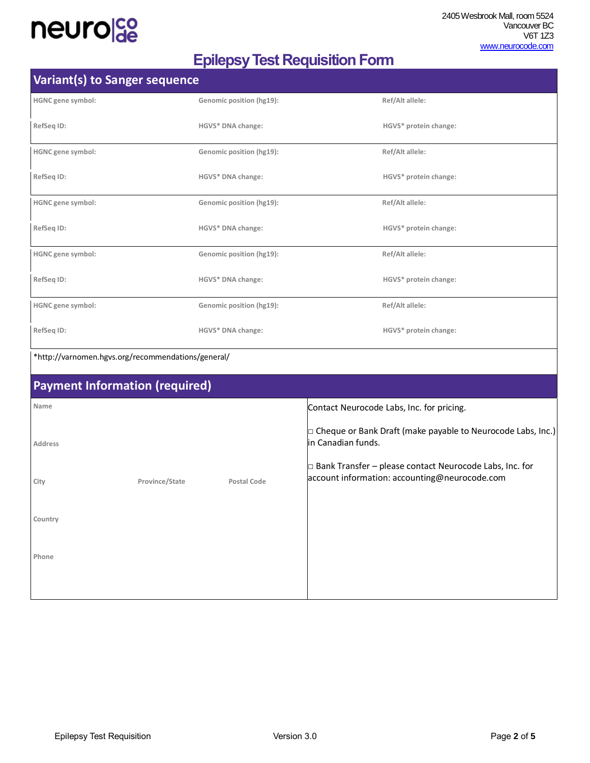

## **Epilepsy Test Requisition Form**

|                   | Variant(s) to Sanger sequence                      |                          |                                                                                                                 |  |
|-------------------|----------------------------------------------------|--------------------------|-----------------------------------------------------------------------------------------------------------------|--|
| HGNC gene symbol: |                                                    | Genomic position (hg19): | Ref/Alt allele:                                                                                                 |  |
| RefSeq ID:        |                                                    | HGVS* DNA change:        | HGVS* protein change:                                                                                           |  |
| HGNC gene symbol: |                                                    | Genomic position (hg19): | Ref/Alt allele:                                                                                                 |  |
| RefSeq ID:        |                                                    | HGVS* DNA change:        | HGVS* protein change:                                                                                           |  |
| HGNC gene symbol: |                                                    | Genomic position (hg19): | Ref/Alt allele:                                                                                                 |  |
| RefSeq ID:        |                                                    | HGVS* DNA change:        | HGVS* protein change:                                                                                           |  |
| HGNC gene symbol: |                                                    | Genomic position (hg19): | Ref/Alt allele:                                                                                                 |  |
| RefSeq ID:        |                                                    | HGVS* DNA change:        | HGVS* protein change:                                                                                           |  |
| HGNC gene symbol: |                                                    | Genomic position (hg19): | Ref/Alt allele:                                                                                                 |  |
| RefSeq ID:        |                                                    | HGVS* DNA change:        | HGVS* protein change:                                                                                           |  |
|                   | *http://varnomen.hgvs.org/recommendations/general/ |                          |                                                                                                                 |  |
|                   | <b>Payment Information (required)</b>              |                          |                                                                                                                 |  |
| Name              |                                                    |                          | Contact Neurocode Labs, Inc. for pricing.                                                                       |  |
| Address           |                                                    |                          | $\Box$ Cheque or Bank Draft (make payable to Neurocode Labs, Inc.)<br>in Canadian funds.                        |  |
| City              | Province/State                                     | Postal Code              | $\Box$ Bank Transfer – please contact Neurocode Labs, Inc. for<br>account information: accounting@neurocode.com |  |
| Country           |                                                    |                          |                                                                                                                 |  |
| Phone             |                                                    |                          |                                                                                                                 |  |
|                   |                                                    |                          |                                                                                                                 |  |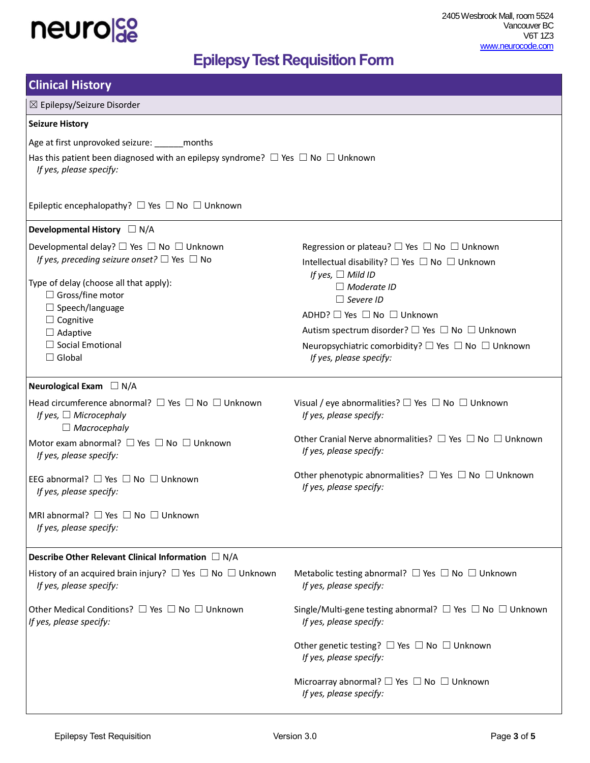

## **Epilepsy Test Requisition Form**

| <b>Clinical History</b>                                                                                                   |                                                                                                    |  |  |  |
|---------------------------------------------------------------------------------------------------------------------------|----------------------------------------------------------------------------------------------------|--|--|--|
| ⊠ Epilepsy/Seizure Disorder                                                                                               |                                                                                                    |  |  |  |
| <b>Seizure History</b>                                                                                                    |                                                                                                    |  |  |  |
| Age at first unprovoked seizure: ______ months                                                                            |                                                                                                    |  |  |  |
| Has this patient been diagnosed with an epilepsy syndrome? $\Box$ Yes $\Box$ No $\Box$ Unknown<br>If yes, please specify: |                                                                                                    |  |  |  |
| Epileptic encephalopathy? $\Box$ Yes $\Box$ No $\Box$ Unknown                                                             |                                                                                                    |  |  |  |
| Developmental History $\Box N/A$                                                                                          |                                                                                                    |  |  |  |
| Developmental delay? $\Box$ Yes $\Box$ No $\Box$ Unknown                                                                  | Regression or plateau? $\Box$ Yes $\Box$ No $\Box$ Unknown                                         |  |  |  |
| If yes, preceding seizure onset? $\Box$ Yes $\Box$ No                                                                     | Intellectual disability? $\Box$ Yes $\Box$ No $\Box$ Unknown<br>If yes, $\Box$ Mild ID             |  |  |  |
| Type of delay (choose all that apply):                                                                                    | $\Box$ Moderate ID                                                                                 |  |  |  |
| $\Box$ Gross/fine motor                                                                                                   | $\Box$ Severe ID                                                                                   |  |  |  |
| $\Box$ Speech/language                                                                                                    | ADHD? □ Yes □ No □ Unknown                                                                         |  |  |  |
| $\Box$ Cognitive                                                                                                          | Autism spectrum disorder? □ Yes □ No □ Unknown                                                     |  |  |  |
| $\Box$ Adaptive<br>$\Box$ Social Emotional                                                                                |                                                                                                    |  |  |  |
| $\Box$ Global                                                                                                             | Neuropsychiatric comorbidity? $\Box$ Yes $\Box$ No $\Box$ Unknown<br>If yes, please specify:       |  |  |  |
| Neurological Exam $\Box$ N/A                                                                                              |                                                                                                    |  |  |  |
| Head circumference abnormal? $\Box$ Yes $\Box$ No $\Box$ Unknown<br>If yes, $\Box$ Microcephaly<br>$\Box$ Macrocephaly    | Visual / eye abnormalities? $\Box$ Yes $\Box$ No $\Box$ Unknown<br>If yes, please specify:         |  |  |  |
| Motor exam abnormal? □ Yes □ No □ Unknown<br>If yes, please specify:                                                      | Other Cranial Nerve abnormalities? $\Box$ Yes $\Box$ No $\Box$ Unknown<br>If yes, please specify:  |  |  |  |
| EEG abnormal? $\Box$ Yes $\Box$ No $\Box$ Unknown<br>If yes, please specify:                                              | Other phenotypic abnormalities? $\Box$ Yes $\Box$ No $\Box$ Unknown<br>If yes, please specify:     |  |  |  |
| MRI abnormal? $\Box$ Yes $\Box$ No $\Box$ Unknown<br>If yes, please specify:                                              |                                                                                                    |  |  |  |
| Describe Other Relevant Clinical Information $\Box N/A$                                                                   |                                                                                                    |  |  |  |
| History of an acquired brain injury? $\Box$ Yes $\Box$ No $\Box$ Unknown<br>If yes, please specify:                       | Metabolic testing abnormal? $\Box$ Yes $\Box$ No $\Box$ Unknown<br>If yes, please specify:         |  |  |  |
| Other Medical Conditions? $\Box$ Yes $\Box$ No $\Box$ Unknown<br>If yes, please specify:                                  | Single/Multi-gene testing abnormal? $\Box$ Yes $\Box$ No $\Box$ Unknown<br>If yes, please specify: |  |  |  |
|                                                                                                                           | Other genetic testing? $\Box$ Yes $\Box$ No $\Box$ Unknown<br>If yes, please specify:              |  |  |  |
|                                                                                                                           | Microarray abnormal? $\Box$ Yes $\Box$ No $\Box$ Unknown<br>If yes, please specify:                |  |  |  |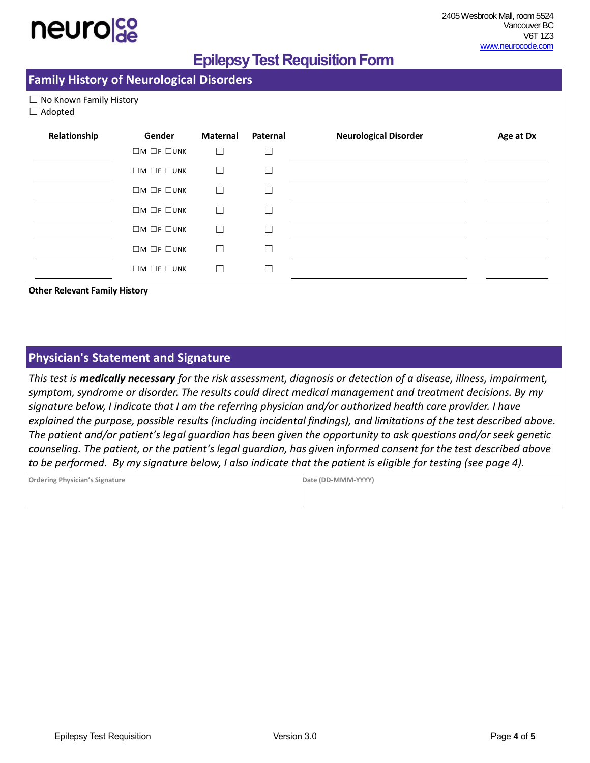## **Epilepsy Test Requisition Form**

### **Family History of Neurological Disorders**

☐ No Known Family History

#### ☐ Adopted

| Relationship | Gender                       | Maternal | Paternal | <b>Neurological Disorder</b> | Age at Dx |
|--------------|------------------------------|----------|----------|------------------------------|-----------|
|              | $\Box M$ $\Box F$ $\Box$ UNK | □        |          |                              |           |
|              | $\Box M \Box F \Box UNK$     | П        |          |                              |           |
|              | $\Box M$ $\Box F$ $\Box$ UNK | П        | ×.       |                              |           |
|              | $\Box M$ $\Box F$ $\Box$ UNK | П        |          |                              |           |
|              | $\Box M$ $\Box F$ $\Box$ UNK | П        |          |                              |           |
|              | $\Box M$ $\Box F$ $\Box$ UNK | П        |          |                              |           |
|              | $\Box M$ $\Box F$ $\Box$ UNK | L.       |          |                              |           |

**Other Relevant Family History** 

### **Physician's Statement and Signature**

*This test is medically necessary for the risk assessment, diagnosis or detection of a disease, illness, impairment, symptom, syndrome or disorder. The results could direct medical management and treatment decisions. By my signature below, I indicate that I am the referring physician and/or authorized health care provider. I have explained the purpose, possible results (including incidental findings), and limitations of the test described above. The patient and/or patient's legal guardian has been given the opportunity to ask questions and/or seek genetic counseling. The patient, or the patient's legal guardian, has given informed consent for the test described above to be performed. By my signature below, I also indicate that the patient is eligible for testing (see page 4).*

| Ordering Physician's Signature | Date (DD-MMM-YYYY) |
|--------------------------------|--------------------|
|                                |                    |